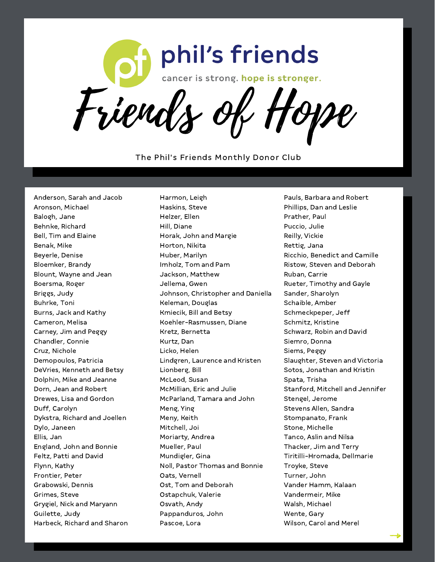

The Phil's Friends Monthly Donor Club

Harmon, Leigh

Anderson, Sarah and Jacob Aronson, Michael Balogh, Jane Behnke, Richard Bell, Tim and Elaine Benak, Mike Beyerle, Denise Bloemker, Brandy Blount, Wayne and Jean Boersma, Roger Briggs, Judy Buhrke, Toni Burns, Jack and Kathy Cameron, Melisa Carney, Jim and Peggy Chandler, Connie Cruz, Nichole Demopoulos, Patricia DeVries, Kenneth and Betsy Dolphin, Mike and Jeanne Dorn, Jean and Robert Drewes, Lisa and Gordon Duff, Carolyn Dykstra, Richard and Joellen Dylo, Janeen Ellis, Jan England, John and Bonnie Feltz, Patti and David Flynn, Kathy Frontier, Peter Grabowski, Dennis Grimes, Steve Grygiel, Nick and Maryann Guilette, Judy Harbeck, Richard and Sharon

Haskins, Steve Helzer, Ellen Hill, Diane Horak, John and Margie Horton, Nikita Huber, Marilyn Imholz, Tom and Pam Jackson, Matthew Jellema, Gwen Johnson, Christopher and Daniella Keleman, Douglas Kmiecik, Bill and Betsy Koehler-Rasmussen, Diane Kretz, Bernetta Kurtz, Dan Licko, Helen Lindgren, Laurence and Kristen Lionberg, Bill McLeod, Susan McMillian, Eric and Julie McParland, Tamara and John Meng, Ying Meny, Keith Mitchell, Joi Moriarty, Andrea Mueller, Paul Mundigler, Gina Noll, Pastor Thomas and Bonnie Oats, Vernell Ost, Tom and Deborah Ostapchuk, Valerie Osvath, Andy Pappanduros, John Pascoe, Lora

Pauls, Barbara and Robert Phillips, Dan and Leslie Prather, Paul Puccio, Julie Reilly, Vickie Rettig, Jana Ricchio, Benedict and Camille Ristow, Steven and Deborah Ruban, Carrie Rueter, Timothy and Gayle Sander, Sharolyn Schaible, Amber Schmeckpeper, Jeff Schmitz, Kristine Schwarz, Robin and David Siemro, Donna Siems, Peggy Slaughter, Steven and Victoria Sotos, Jonathan and Kristin Spata, Trisha Stanford, Mitchell and Jennifer Stengel, Jerome Stevens Allen, Sandra Stompanato, Frank Stone, Michelle Tanco, Aslin and Nilsa Thacker, Jim and Terry Tiritilli-Hromada, Dellmarie Troyke, Steve Turner, John Vander Hamm, Kalaan Vandermeir, Mike Walsh, Michael Wente, Gary Wilson, Carol and Merel